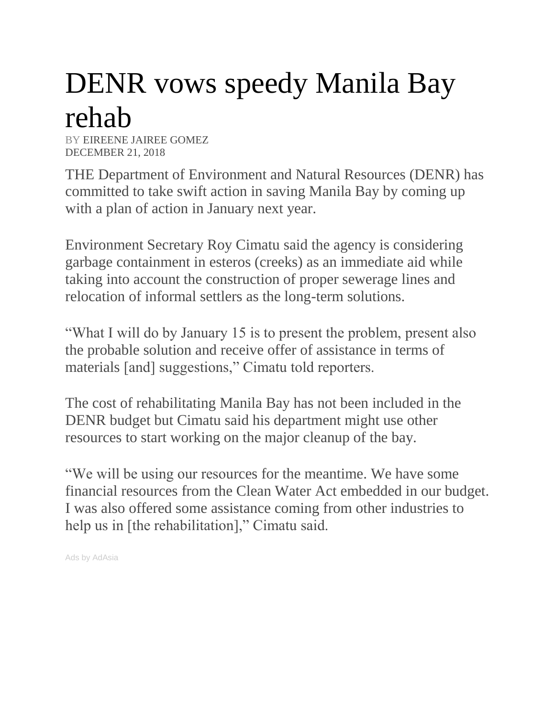## DENR vows speedy Manila Bay rehab

BY [EIREENE JAIREE GOMEZ](https://www.manilatimes.net/author/eireene_jairee_gomez/) DECEMBER 21, 2018

THE Department of Environment and Natural Resources (DENR) has committed to take swift action in saving Manila Bay by coming up with a plan of action in January next year.

Environment Secretary Roy Cimatu said the agency is considering garbage containment in esteros (creeks) as an immediate aid while taking into account the construction of proper sewerage lines and relocation of informal settlers as the long-term solutions.

"What I will do by January 15 is to present the problem, present also the probable solution and receive offer of assistance in terms of materials [and] suggestions," Cimatu told reporters.

The cost of rehabilitating Manila Bay has not been included in the DENR budget but Cimatu said his department might use other resources to start working on the major cleanup of the bay.

"We will be using our resources for the meantime. We have some financial resources from the Clean Water Act embedded in our budget. I was also offered some assistance coming from other industries to help us in [the rehabilitation]," Cimatu said.

Ads by AdAsia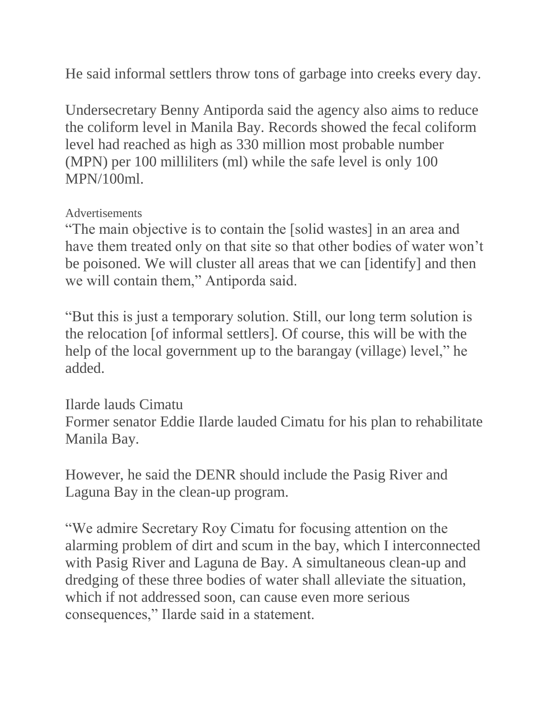He said informal settlers throw tons of garbage into creeks every day.

Undersecretary Benny Antiporda said the agency also aims to reduce the coliform level in Manila Bay. Records showed the fecal coliform level had reached as high as 330 million most probable number (MPN) per 100 milliliters (ml) while the safe level is only 100 MPN/100ml.

## Advertisements

"The main objective is to contain the [solid wastes] in an area and have them treated only on that site so that other bodies of water won't be poisoned. We will cluster all areas that we can [identify] and then we will contain them," Antiporda said.

"But this is just a temporary solution. Still, our long term solution is the relocation [of informal settlers]. Of course, this will be with the help of the local government up to the barangay (village) level," he added.

Ilarde lauds Cimatu Former senator Eddie Ilarde lauded Cimatu for his plan to rehabilitate Manila Bay.

However, he said the DENR should include the Pasig River and Laguna Bay in the clean-up program.

"We admire Secretary Roy Cimatu for focusing attention on the alarming problem of dirt and scum in the bay, which I interconnected with Pasig River and Laguna de Bay. A simultaneous clean-up and dredging of these three bodies of water shall alleviate the situation, which if not addressed soon, can cause even more serious consequences," Ilarde said in a statement.